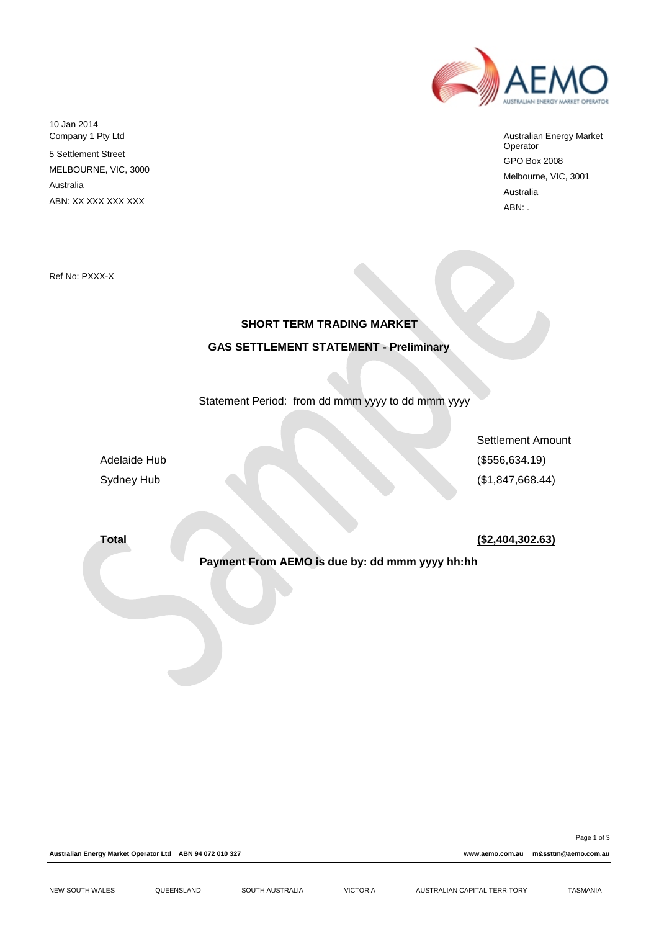

Australian Energy Market Operator GPO Box 2008 Melbourne, VIC, 3001 Australia ABN: .

10 Jan 2014 Company 1 Pty Ltd 5 Settlement Street MELBOURNE, VIC, 3000

Australia

ABN: XX XXX XXX XXX

Ref No: PXXX-X

# **SHORT TERM TRADING MARKET GAS SETTLEMENT STATEMENT - Preliminary**

Statement Period: from dd mmm yyyy to dd mmm yyyy

Settlement Amount Adelaide Hub (\$556,634.19) Sydney Hub (\$1,847,668.44)

**Total (\$2,404,302.63)**

**Payment From AEMO is due by: dd mmm yyyy hh:hh**

**Australian Energy Market Operator Ltd ABN 94 072 010 327 www.aemo.com.au m&ssttm@aemo.com.au**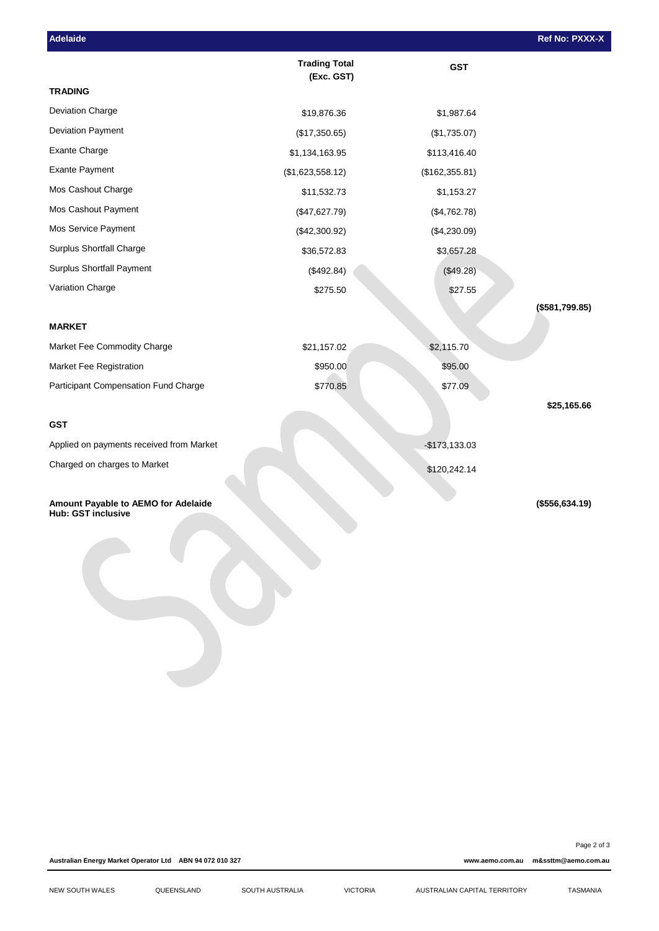| Adelaide                                                         |                                    |                | Ref No: PXXX-X  |
|------------------------------------------------------------------|------------------------------------|----------------|-----------------|
|                                                                  | <b>Trading Total</b><br>(Exc. GST) | <b>GST</b>     |                 |
| <b>TRADING</b>                                                   |                                    |                |                 |
| Deviation Charge                                                 | \$19,876.36                        | \$1,987.64     |                 |
| Deviation Payment                                                | (\$17,350.65)                      | (\$1,735.07)   |                 |
| Exante Charge                                                    | \$1,134,163.95                     | \$113,416.40   |                 |
| <b>Exante Payment</b>                                            | (\$1,623,558.12)                   | (\$162,355.81) |                 |
| Mos Cashout Charge                                               | \$11,532.73                        | \$1,153.27     |                 |
| Mos Cashout Payment                                              | (\$47,627.79)                      | (\$4,762.78)   |                 |
| Mos Service Payment                                              | (\$42,300.92)                      | (\$4,230.09)   |                 |
| Surplus Shortfall Charge                                         | \$36,572.83                        | \$3,657.28     |                 |
| Surplus Shortfall Payment                                        | (\$492.84)                         | (\$49.28)      |                 |
| Variation Charge                                                 | \$275.50                           | \$27.55        |                 |
|                                                                  |                                    |                | (\$581,799.85)  |
| <b>MARKET</b>                                                    |                                    |                |                 |
| Market Fee Commodity Charge                                      | \$21,157.02                        | \$2,115.70     |                 |
| Market Fee Registration                                          | \$950.00                           | \$95.00        |                 |
| Participant Compensation Fund Charge                             | \$770.85                           | \$77.09        |                 |
|                                                                  |                                    |                | \$25,165.66     |
| <b>GST</b>                                                       |                                    |                |                 |
| Applied on payments received from Market                         |                                    | $-$173,133.03$ |                 |
| Charged on charges to Market                                     |                                    | \$120,242.14   |                 |
|                                                                  |                                    |                |                 |
| Amount Payable to AEMO for Adelaide<br><b>Hub: GST inclusive</b> |                                    |                | (\$556, 634.19) |
|                                                                  |                                    |                |                 |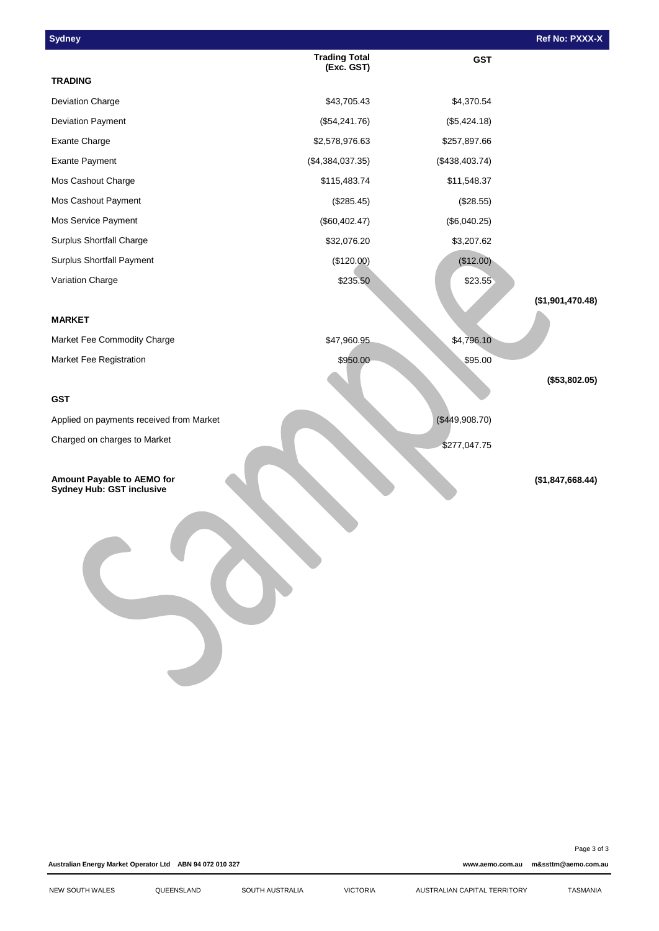| <b>Sydney</b>                                                  |                                    |                | Ref No: PXXX-X   |
|----------------------------------------------------------------|------------------------------------|----------------|------------------|
|                                                                | <b>Trading Total</b><br>(Exc. GST) | <b>GST</b>     |                  |
| <b>TRADING</b>                                                 |                                    |                |                  |
| Deviation Charge                                               | \$43,705.43                        | \$4,370.54     |                  |
| Deviation Payment                                              | (\$54,241.76)                      | (\$5,424.18)   |                  |
| <b>Exante Charge</b>                                           | \$2,578,976.63                     | \$257,897.66   |                  |
| <b>Exante Payment</b>                                          | (\$4,384,037.35)                   | (\$438,403.74) |                  |
| Mos Cashout Charge                                             | \$115,483.74                       | \$11,548.37    |                  |
| Mos Cashout Payment                                            | (\$285.45)                         | (\$28.55)      |                  |
| Mos Service Payment                                            | (\$60,402.47)                      | (\$6,040.25)   |                  |
| <b>Surplus Shortfall Charge</b>                                | \$32,076.20                        | \$3,207.62     |                  |
| Surplus Shortfall Payment                                      | (\$120.00)                         | (\$12.00)      |                  |
| Variation Charge                                               | \$235.50                           | \$23.55        |                  |
|                                                                |                                    |                | (\$1,901,470.48) |
| <b>MARKET</b>                                                  |                                    |                |                  |
| Market Fee Commodity Charge                                    | \$47,960.95                        | \$4,796.10     |                  |
| Market Fee Registration                                        | \$950.00                           | \$95.00        |                  |
|                                                                |                                    |                | (\$53,802.05)    |
| <b>GST</b>                                                     |                                    |                |                  |
| Applied on payments received from Market                       |                                    | (\$449,908.70) |                  |
| Charged on charges to Market                                   |                                    | \$277,047.75   |                  |
|                                                                |                                    |                |                  |
| Amount Payable to AEMO for<br><b>Sydney Hub: GST inclusive</b> |                                    |                | (\$1,847,668.44) |
|                                                                |                                    |                |                  |

Page 3 of 3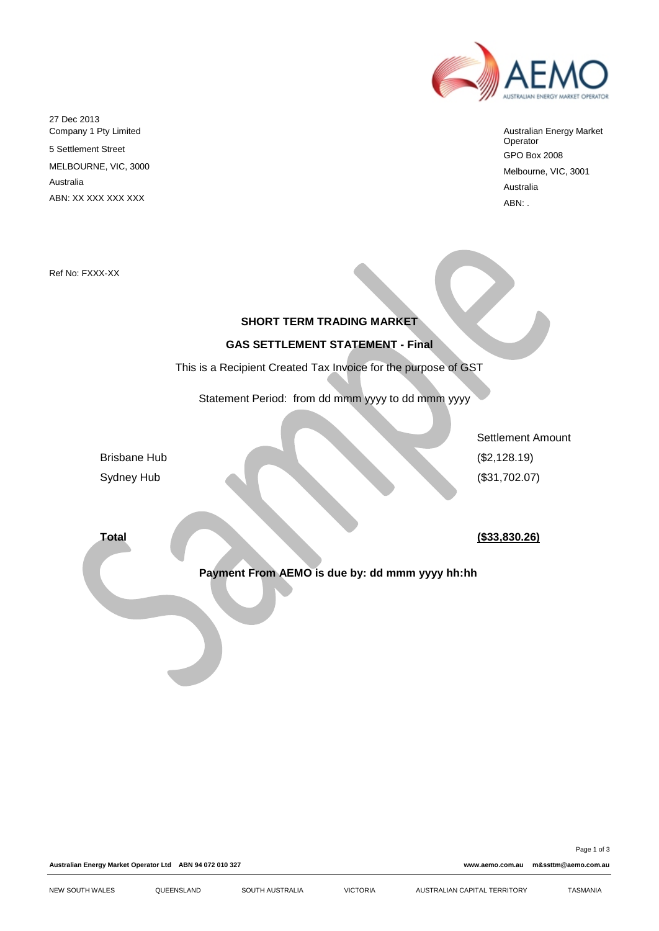

Australian Energy Market Operator GPO Box 2008 Melbourne, VIC, 3001 Australia ABN: .

Ref No: FXXX-XX

27 Dec 2013

Australia

Company 1 Pty Limited 5 Settlement Street MELBOURNE, VIC, 3000

ABN: XX XXX XXX XXX

## **SHORT TERM TRADING MARKET**

## **GAS SETTLEMENT STATEMENT - Final**

This is a Recipient Created Tax Invoice for the purpose of GST

Statement Period: from dd mmm yyyy to dd mmm yyyy

Brisbane Hub (\$2,128.19) Sydney Hub (\$31,702.07)

**Total (\$33,830.26)**

Settlement Amount

**Payment From AEMO is due by: dd mmm yyyy hh:hh**

**Australian Energy Market Operator Ltd ABN 94 072 010 327 www.aemo.com.au m&ssttm@aemo.com.au**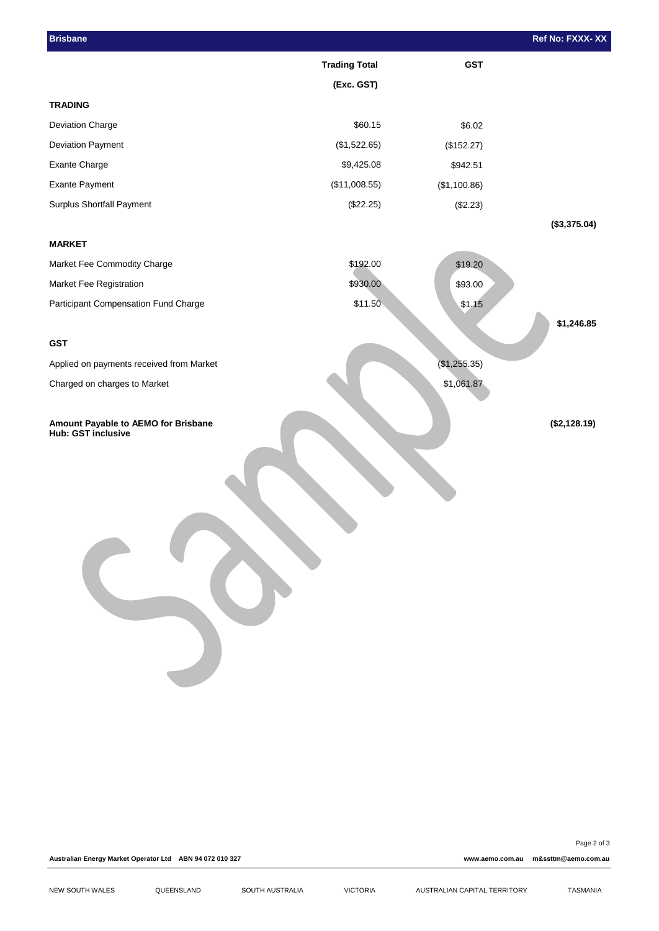| <b>Brisbane</b>                                           |                      |              | Ref No: FXXX-XX |
|-----------------------------------------------------------|----------------------|--------------|-----------------|
|                                                           | <b>Trading Total</b> | <b>GST</b>   |                 |
|                                                           | (Exc. GST)           |              |                 |
| <b>TRADING</b>                                            |                      |              |                 |
| Deviation Charge                                          | \$60.15              | \$6.02       |                 |
| Deviation Payment                                         | (\$1,522.65)         | (\$152.27)   |                 |
| Exante Charge                                             | \$9,425.08           | \$942.51     |                 |
| <b>Exante Payment</b>                                     | (\$11,008.55)        | (\$1,100.86) |                 |
| Surplus Shortfall Payment                                 | (\$22.25)            | (\$2.23)     |                 |
|                                                           |                      |              | (\$3,375.04)    |
| <b>MARKET</b>                                             |                      |              |                 |
| Market Fee Commodity Charge                               | \$192.00             | \$19.20      |                 |
| Market Fee Registration                                   | \$930.00             | \$93.00      |                 |
| Participant Compensation Fund Charge                      | \$11.50              | \$1.15       |                 |
|                                                           |                      |              | \$1,246.85      |
| <b>GST</b>                                                |                      |              |                 |
| Applied on payments received from Market                  |                      | (\$1,255.35) |                 |
| Charged on charges to Market                              |                      | \$1,061.87   |                 |
|                                                           |                      |              |                 |
| Amount Payable to AEMO for Brisbane<br>Hub: GST inclusive |                      |              | (\$2,128.19)    |
|                                                           |                      |              |                 |

Page 2 of 3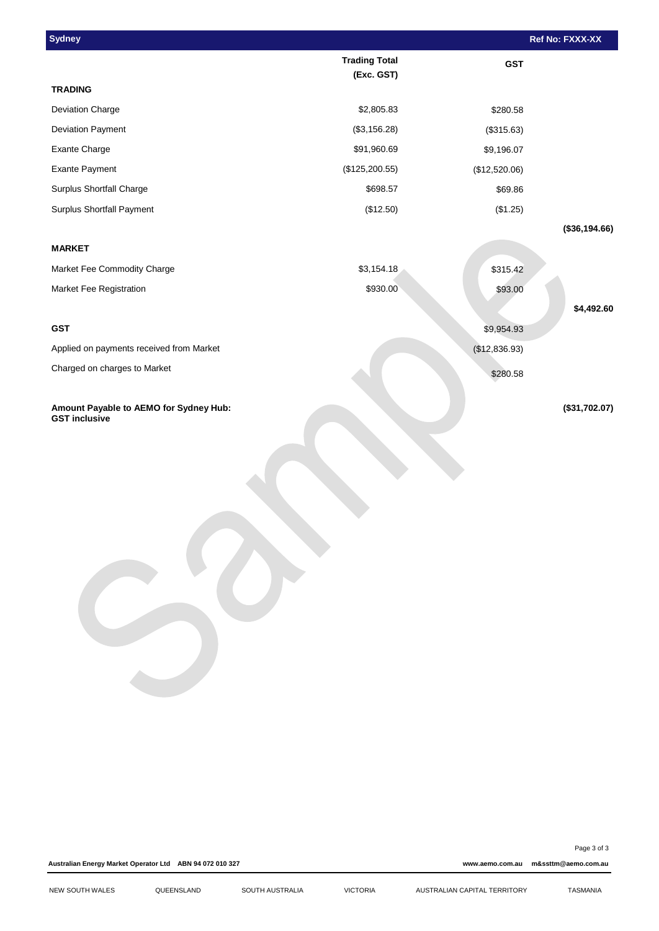| <b>Sydney</b>                                                  |                                    |               | Ref No: FXXX-XX |
|----------------------------------------------------------------|------------------------------------|---------------|-----------------|
|                                                                | <b>Trading Total</b><br>(Exc. GST) | <b>GST</b>    |                 |
| <b>TRADING</b>                                                 |                                    |               |                 |
| Deviation Charge                                               | \$2,805.83                         | \$280.58      |                 |
| <b>Deviation Payment</b>                                       | (\$3,156.28)                       | (\$315.63)    |                 |
| Exante Charge                                                  | \$91,960.69                        | \$9,196.07    |                 |
| <b>Exante Payment</b>                                          | (\$125,200.55)                     | (\$12,520.06) |                 |
| Surplus Shortfall Charge                                       | \$698.57                           | \$69.86       |                 |
| <b>Surplus Shortfall Payment</b>                               | (\$12.50)                          | (\$1.25)      |                 |
|                                                                |                                    |               | (\$36,194.66)   |
| <b>MARKET</b>                                                  |                                    |               |                 |
| Market Fee Commodity Charge                                    | \$3,154.18                         | \$315.42      |                 |
| Market Fee Registration                                        | \$930.00                           | \$93.00       |                 |
|                                                                |                                    |               | \$4,492.60      |
| <b>GST</b>                                                     |                                    | \$9,954.93    |                 |
| Applied on payments received from Market                       |                                    | (\$12,836.93) |                 |
| Charged on charges to Market                                   |                                    | \$280.58      |                 |
| Amount Payable to AEMO for Sydney Hub:<br><b>GST inclusive</b> |                                    |               | (\$31,702.07)   |
|                                                                |                                    |               |                 |

Page 3 of 3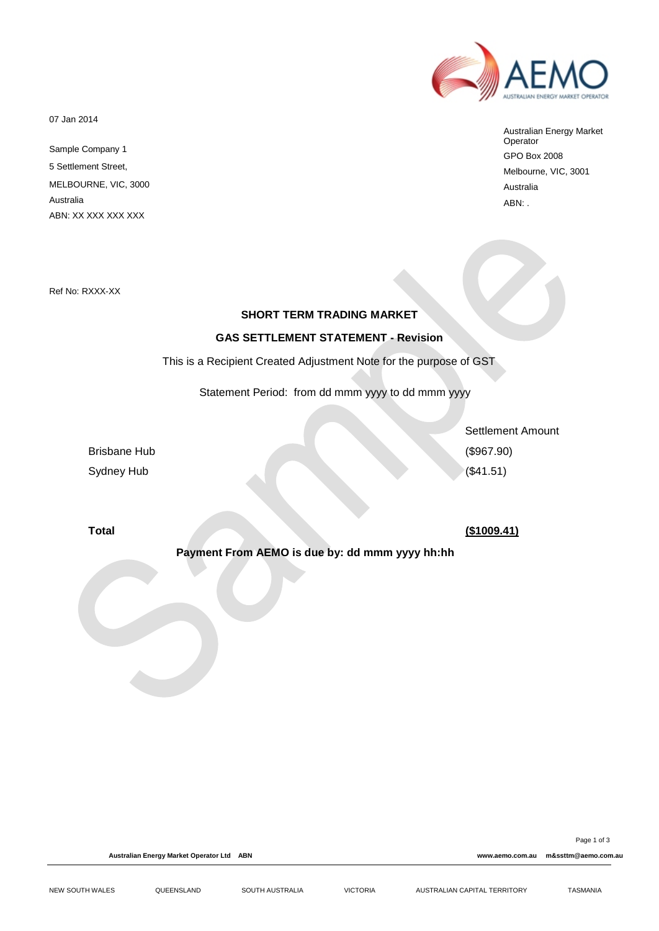07 Jan 2014

Sample Company 1 5 Settlement Street, MELBOURNE, VIC, 3000 Australia ABN: XX XXX XXX XXX

Australian Energy Market Operator GPO Box 2008 Melbourne, VIC, 3001 Australia ABN: .

Ref No: RXXX-XX

## **SHORT TERM TRADING MARKET**

## **GAS SETTLEMENT STATEMENT - Revision**

This is a Recipient Created Adjustment Note for the purpose of GST

Statement Period: from dd mmm yyyy to dd mmm yyyy

Brisbane Hub (\$967.90) Sydney Hub (\$41.51)

Settlement Amount

## **Total (\$1009.41)**

**Payment From AEMO is due by: dd mmm yyyy hh:hh**

Page 1 of 3

**Australian Energy Market Operator Ltd ABN www.aemo.com.au m&ssttm@aemo.com.au**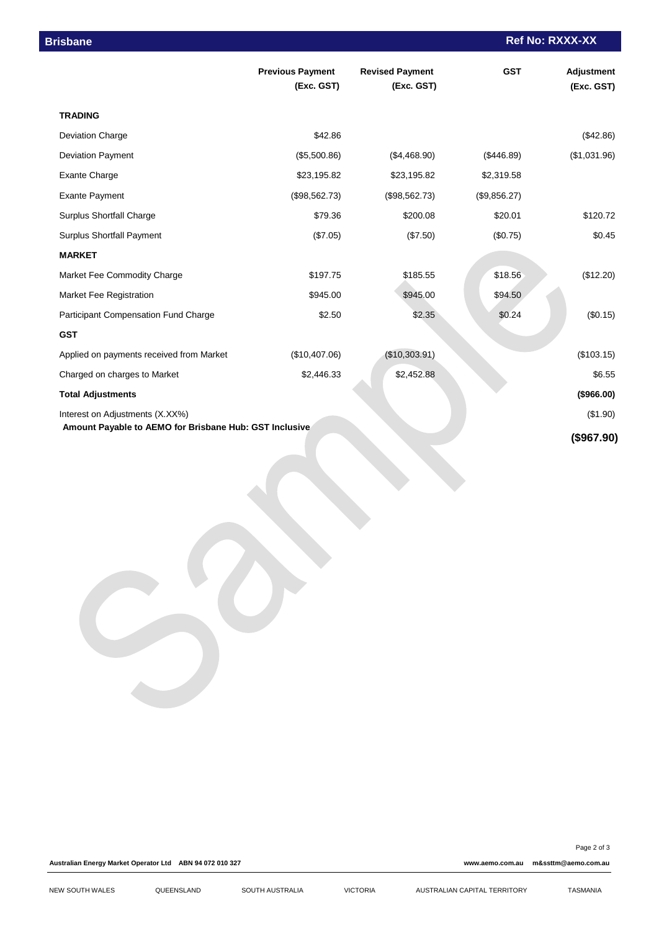| <b>Brisbane</b>                                        |                                       |                                      |              | <b>Ref No: RXXX-XX</b>   |  |
|--------------------------------------------------------|---------------------------------------|--------------------------------------|--------------|--------------------------|--|
|                                                        | <b>Previous Payment</b><br>(Exc. GST) | <b>Revised Payment</b><br>(Exc. GST) | <b>GST</b>   | Adjustment<br>(Exc. GST) |  |
| <b>TRADING</b>                                         |                                       |                                      |              |                          |  |
| <b>Deviation Charge</b>                                | \$42.86                               |                                      |              | (\$42.86)                |  |
| Deviation Payment                                      | (\$5,500.86)                          | (\$4,468.90)                         | (\$446.89)   | (\$1,031.96)             |  |
| <b>Exante Charge</b>                                   | \$23,195.82                           | \$23,195.82                          | \$2,319.58   |                          |  |
| <b>Exante Payment</b>                                  | (\$98,562.73)                         | (\$98,562.73)                        | (\$9,856.27) |                          |  |
| Surplus Shortfall Charge                               | \$79.36                               | \$200.08                             | \$20.01      | \$120.72                 |  |
| <b>Surplus Shortfall Payment</b>                       | (\$7.05)                              | (\$7.50)                             | (\$0.75)     | \$0.45                   |  |
| <b>MARKET</b>                                          |                                       |                                      |              |                          |  |
| Market Fee Commodity Charge                            | \$197.75                              | \$185.55                             | \$18.56      | (\$12.20)                |  |
| Market Fee Registration                                | \$945.00                              | \$945.00                             | \$94.50      |                          |  |
| Participant Compensation Fund Charge                   | \$2.50                                | \$2.35                               | \$0.24       | (\$0.15)                 |  |
| <b>GST</b>                                             |                                       |                                      |              |                          |  |
| Applied on payments received from Market               | (\$10,407.06)                         | (\$10,303.91)                        |              | (\$103.15)               |  |
| Charged on charges to Market                           | \$2,446.33                            | \$2,452.88                           |              | \$6.55                   |  |
| <b>Total Adjustments</b>                               |                                       |                                      |              | (\$966.00)               |  |
| Interest on Adjustments (X.XX%)                        |                                       |                                      |              | (\$1.90)                 |  |
| Amount Payable to AEMO for Brisbane Hub: GST Inclusive |                                       |                                      |              | (\$967.90)               |  |

**Australian Energy Market Operator Ltd ABN 94 072 010 327 www.aemo.com.au m&ssttm@aemo.com.au**

Page 2 of 3